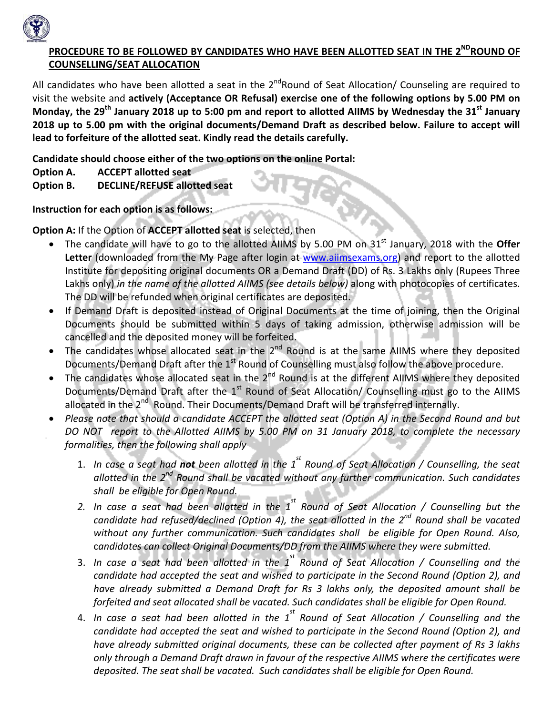

#### **PROCEDURE TO BE FOLLOWED BY CANDIDATES WHO HAVE BEEN ALLOTTED SEAT IN THE 2NDROUND OF COUNSELLING/SEAT ALLOCATION**

All candidates who have been allotted a seat in the  $2^{nd}$ Round of Seat Allocation/ Counseling are required to visit the website and **actively (Acceptance OR Refusal) exercise one of the following options by 5.00 PM on** Monday, the  $29^{th}$  January 2018 up to 5:00 pm and report to allotted AIIMS by Wednesday the 31 $^{st}$  January **2018 up to 5.00 pm with the original documents/Demand Draft as described below. Failure to accept will lead to forfeiture of the allotted seat. Kindly read the details carefully.** 

**Candidate should choose either of the two options on the online Portal:**

**Option A. ACCEPT allotted seat** 

**Option B. DECLINE/REFUSE allotted seat** 

**Instruction for each option is as follows:**

**Option A:** If the Option of **ACCEPT allotted seat** is selected, then

- The candidate will have to go to the allotted AIIMS by 5.00 PM on 31st January, 2018 with the **Offer** Letter (downloaded from the My Page after login at www.aiimsexams.org) and report to the allotted Institute for depositing original documents OR a Demand Draft (DD) of Rs. 3 Lakhs only (Rupees Three Lakhs only) *in the name of the allotted AIIMS (see details below)* along with photocopies of certificates. The DD will be refunded when original certificates are deposited.
- If Demand Draft is deposited instead of Original Documents at the time of joining, then the Original Documents should be submitted within 5 days of taking admission, otherwise admission will be cancelled and the deposited money will be forfeited.
- The candidates whose allocated seat in the  $2^{nd}$  Round is at the same AIIMS where they deposited Documents/Demand Draft after the 1<sup>st</sup> Round of Counselling must also follow the above procedure.
- The candidates whose allocated seat in the 2<sup>nd</sup> Round is at the different AIIMS where they deposited Documents/Demand Draft after the 1<sup>st</sup> Round of Seat Allocation/ Counselling must go to the AIIMS allocated in the 2<sup>nd</sup> Round. Their Documents/Demand Draft will be transferred internally.
- Please note that should a candidate ACCEPT the allotted seat (Option A) in the Second Round and but DO NOT report to the Allotted AIIMS by 5.00 PM on 31 January 2018, to complete the necessary *formalities, then the following shall apply*
	- 1. In case a seat had **not** been allotted in the  $1^{st}$  Round of Seat Allocation / Counselling, the seat *allotted in the 2nd Round shall be vacated without any further communication. Such candidates shall be eligible for Open Round.*
	- 2. In case a seat had been allotted in the  $1^{st}$  Round of Seat Allocation / Counselling but the *candidate had refused/declined (Option 4), the seat allotted in the 2nd Round shall be vacated without any further communication. Such candidates shall be eligible for Open Round. Also,* c*andidates can collect Original Documents/DD from the AIIMS where they were submitted.*
	- 3. In case a seat had been allotted in the  $1^{st}$  Round of Seat Allocation / Counselling and the *candidate had accepted the seat and wished to participate in the Second Round (Option 2), and have already submitted a Demand Draft for Rs 3 lakhs only, the deposited amount shall be forfeited and seat allocated shall be vacated. Such candidates shall be eligible for Open Round.*
	- 4. In case a seat had been allotted in the  $1^{st}$  Round of Seat Allocation / Counselling and the *candidate had accepted the seat and wished to participate in the Second Round (Option 2), and have already submitted original documents, these can be collected after payment of Rs 3 lakhs only through a Demand Draft drawn in favour of the respective AIIMS where the certificates were deposited. The seat shall be vacated. Such candidates shall be eligible for Open Round.*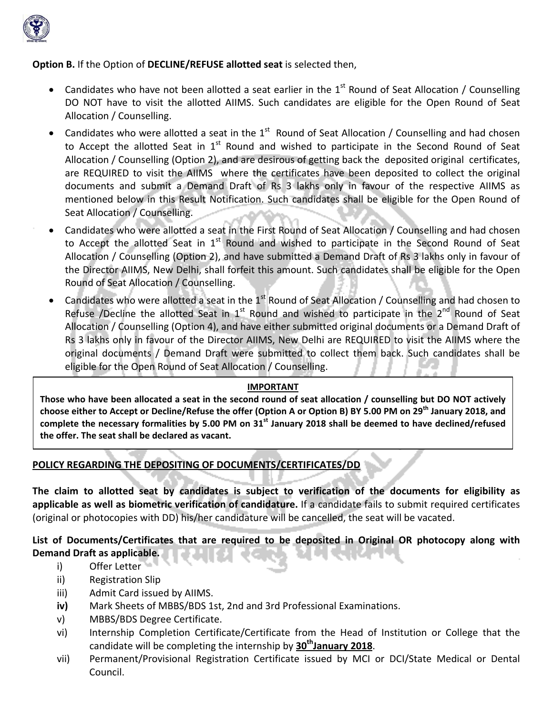

#### **Option B.** If the Option of **DECLINE/REFUSE allotted seat** is selected then,

- Candidates who have not been allotted a seat earlier in the  $1<sup>st</sup>$  Round of Seat Allocation / Counselling DO NOT have to visit the allotted AIIMS. Such candidates are eligible for the Open Round of Seat Allocation / Counselling.
- Candidates who were allotted a seat in the  $1<sup>st</sup>$  Round of Seat Allocation / Counselling and had chosen to Accept the allotted Seat in  $1<sup>st</sup>$  Round and wished to participate in the Second Round of Seat Allocation / Counselling (Option 2), and are desirous of getting back the deposited original certificates, are REQUIRED to visit the AIIMS where the certificates have been deposited to collect the original documents and submit a Demand Draft of Rs 3 lakhs only in favour of the respective AIIMS as mentioned below in this Result Notification. Such candidates shall be eligible for the Open Round of Seat Allocation / Counselling.
- Candidates who were allotted a seat in the First Round of Seat Allocation / Counselling and had chosen to Accept the allotted Seat in  $1<sup>st</sup>$  Round and wished to participate in the Second Round of Seat Allocation / Counselling (Option 2), and have submitted a Demand Draft of Rs 3 lakhs only in favour of the Director AIIMS, New Delhi, shall forfeit this amount. Such candidates shall be eligible for the Open Round of Seat Allocation / Counselling.
- Candidates who were allotted a seat in the 1<sup>st</sup> Round of Seat Allocation / Counselling and had chosen to Refuse /Decline the allotted Seat in  $1<sup>st</sup>$  Round and wished to participate in the  $2<sup>nd</sup>$  Round of Seat Allocation / Counselling (Option 4), and have either submitted original documents or a Demand Draft of Rs 3 lakhs only in favour of the Director AIIMS, New Delhi are REQUIRED to visit the AIIMS where the original documents / Demand Draft were submitted to collect them back. Such candidates shall be eligible for the Open Round of Seat Allocation / Counselling.

#### **IMPORTANT**

Those who have been allocated a seat in the second round of seat allocation / counselling but DO NOT actively choose either to Accept or Decline/Refuse the offer (Option A or Option B) BY 5.00 PM on 29<sup>th</sup> January 2018, and complete the necessary formalities by 5.00 PM on 31<sup>st</sup> January 2018 shall be deemed to have declined/refused **the offer. The seat shall be declared as vacant.**

# **POLICY REGARDING THE DEPOSITING OF DOCUMENTS/CERTIFICATES/DD**

**The claim to allotted seat by candidates is subject to verification of the documents for eligibility as applicable as well as biometric verification of candidature.** If a candidate fails to submit required certificates (original or photocopies with DD) his/her candidature will be cancelled, the seat will be vacated.

# **List of Documents/Certificates that are required to be deposited in Original OR photocopy along with Demand Draft as applicable.**

- i) Offer Letter
- ii) Registration Slip
- iii) Admit Card issued by AIIMS.
- **iv)** Mark Sheets of MBBS/BDS 1st, 2nd and 3rd Professional Examinations.
- v) MBBS/BDS Degree Certificate.
- vi) Internship Completion Certificate/Certificate from the Head of Institution or College that the candidate will be completing the internship by **30thJanuary 2018**.
- vii) Permanent/Provisional Registration Certificate issued by MCI or DCI/State Medical or Dental Council.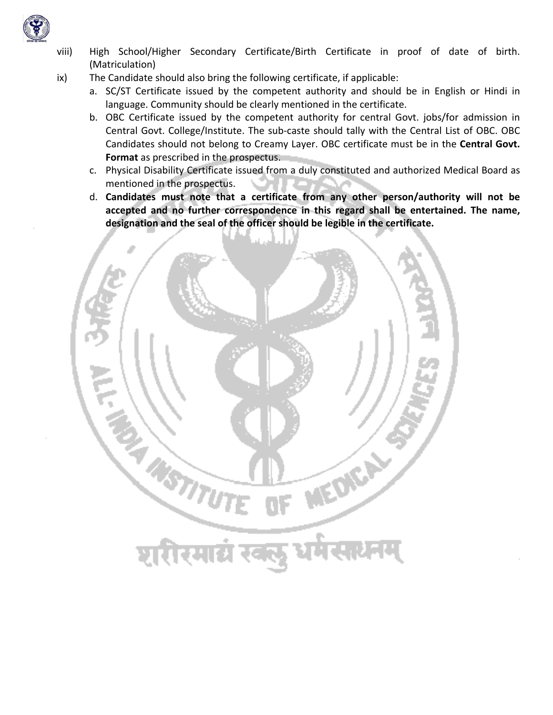

- viii) High School/Higher Secondary Certificate/Birth Certificate in proof of date of birth. (Matriculation)
- ix) The Candidate should also bring the following certificate, if applicable:
	- a. SC/ST Certificate issued by the competent authority and should be in English or Hindi in language. Community should be clearly mentioned in the certificate.
	- b. OBC Certificate issued by the competent authority for central Govt. jobs/for admission in Central Govt. College/Institute. The sub‐caste should tally with the Central List of OBC. OBC Candidates should not belong to Creamy Layer. OBC certificate must be in the **Central Govt. Format** as prescribed in the prospectus.
	- c. Physical Disability Certificate issued from a duly constituted and authorized Medical Board as mentioned in the prospectus.
	- d. **Candidates must note that a certificate from any other person/authority will not be accepted and no further correspondence in this regard shall be entertained. The name, designation and the seal of the officer should be legible in the certificate.**